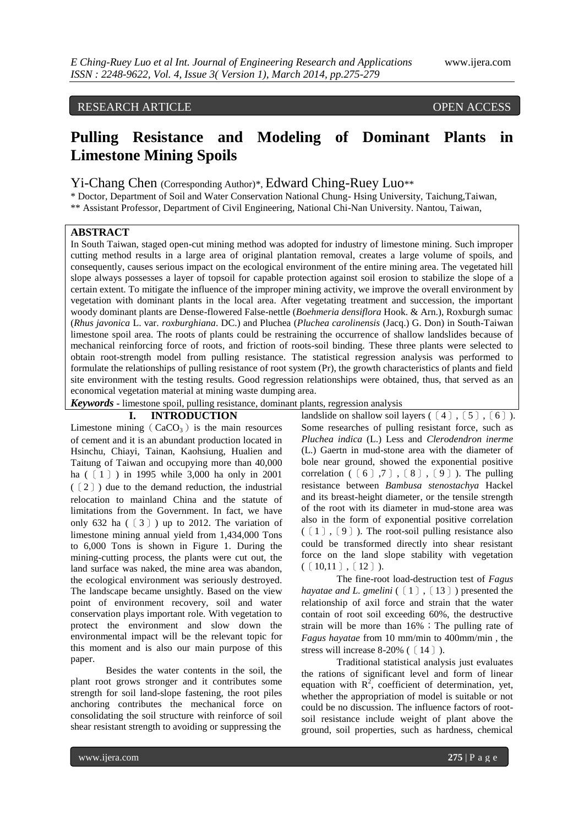# RESEARCH ARTICLE OPEN ACCESS

# **Pulling Resistance and Modeling of Dominant Plants in Limestone Mining Spoils**

Yi-Chang Chen (Corresponding Author)\*, Edward Ching-Ruey Luo\*\*

\* Doctor, Department of Soil and Water Conservation National Chung- Hsing University, Taichung,Taiwan, \*\* Assistant Professor, Department of Civil Engineering, National Chi-Nan University. Nantou, Taiwan,

# **ABSTRACT**

In South Taiwan, staged open-cut mining method was adopted for industry of limestone mining. Such improper cutting method results in a large area of original plantation removal, creates a large volume of spoils, and consequently, causes serious impact on the ecological environment of the entire mining area. The vegetated hill slope always possesses a layer of topsoil for capable protection against soil erosion to stabilize the slope of a certain extent. To mitigate the influence of the improper mining activity, we improve the overall environment by vegetation with dominant plants in the local area. After vegetating treatment and succession, the important woody dominant plants are Dense-flowered False-nettle (*Boehmeria densiflora* Hook. & Arn.), Roxburgh sumac (*Rhus javonica* L. var. *roxburghiana*. DC.) and Pluchea (*Pluchea carolinensis* (Jacq.) G. Don) in South-Taiwan limestone spoil area. The roots of plants could be restraining the occurrence of shallow landslides because of mechanical reinforcing force of roots, and friction of roots-soil binding. These three plants were selected to obtain root-strength model from pulling resistance. The statistical regression analysis was performed to formulate the relationships of pulling resistance of root system (Pr), the growth characteristics of plants and field site environment with the testing results. Good regression relationships were obtained, thus, that served as an economical vegetation material at mining waste dumping area.

*Keywords* **-** limestone spoil, pulling resistance, dominant plants, regression analysis

# **I. INTRODUCTION**

Limestone mining  $(CaCO<sub>3</sub>)$  is the main resources of cement and it is an abundant production located in Hsinchu, Chiayi, Tainan, Kaohsiung, Hualien and Taitung of Taiwan and occupying more than 40,000 ha (〔1〕) in 1995 while 3,000 ha only in 2001 (〔2〕) due to the demand reduction, the industrial relocation to mainland China and the statute of limitations from the Government. In fact, we have only 632 ha  $(3)$ ) up to 2012. The variation of limestone mining annual yield from 1,434,000 Tons to 6,000 Tons is shown in Figure 1. During the mining-cutting process, the plants were cut out, the land surface was naked, the mine area was abandon, the ecological environment was seriously destroyed. The landscape became unsightly. Based on the view point of environment recovery, soil and water conservation plays important role. With vegetation to protect the environment and slow down the environmental impact will be the relevant topic for this moment and is also our main purpose of this paper.

Besides the water contents in the soil, the plant root grows stronger and it contributes some strength for soil land-slope fastening, the root piles anchoring contributes the mechanical force on consolidating the soil structure with reinforce of soil shear resistant strength to avoiding or suppressing the

landslide on shallow soil layers ( $\lceil 4 \rceil$ ,  $\lceil 5 \rceil$ ,  $\lceil 6 \rceil$ ). Some researches of pulling resistant force, such as *Pluchea indica* (L.) Less and *Clerodendron inerme*  (L.) Gaertn in mud-stone area with the diameter of bole near ground, showed the exponential positive correlation  $(6)$ ,  $7)$ ,  $(8)$ ,  $(9)$ ). The pulling resistance between *Bambusa stenostachya* Hackel and its breast-height diameter, or the tensile strength of the root with its diameter in mud-stone area was also in the form of exponential positive correlation (〔1〕,〔9〕). The root-soil pulling resistance also could be transformed directly into shear resistant force on the land slope stability with vegetation  $(10,11)$ ,  $[12]$ .

The fine-root load-destruction test of *Fagus hayatae and L. gmelini* (〔1〕,〔13〕) presented the relationship of axil force and strain that the water contain of root soil exceeding 60%, the destructive strain will be more than  $16\%$  ; The pulling rate of *Fagus hayatae* from 10 mm/min to 400mm/min , the stress will increase 8-20% ( $\lceil 14 \rceil$ ).

Traditional statistical analysis just evaluates the rations of significant level and form of linear equation with  $R^2$ , coefficient of determination, yet, whether the appropriation of model is suitable or not could be no discussion. The influence factors of rootsoil resistance include weight of plant above the ground, soil properties, such as hardness, chemical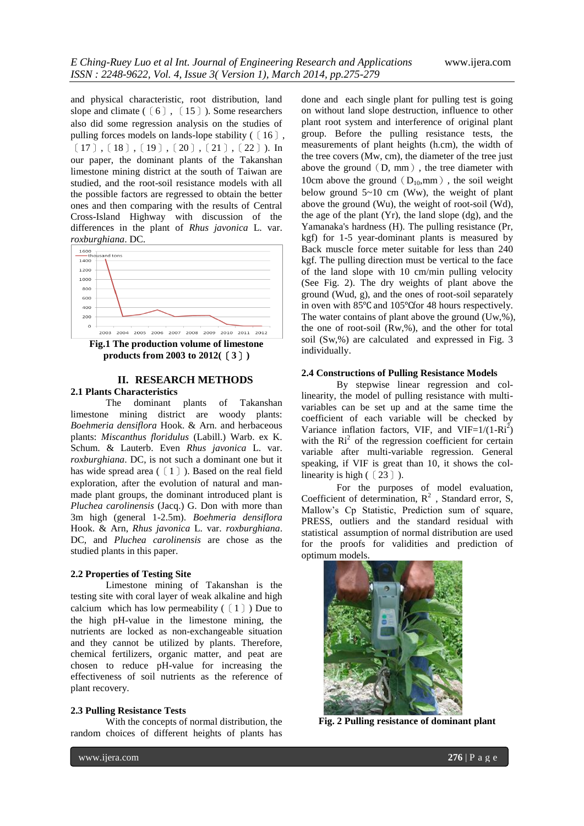and physical characteristic, root distribution, land slope and climate (〔6〕, 〔15〕). Some researchers also did some regression analysis on the studies of pulling forces models on lands-lope stability ( $\lceil 16 \rceil$ ,  $[17]$ ,  $[18]$ ,  $[19]$ ,  $[20]$ ,  $[21]$ ,  $[22]$ ). In our paper, the dominant plants of the Takanshan limestone mining district at the south of Taiwan are studied, and the root-soil resistance models with all the possible factors are regressed to obtain the better ones and then comparing with the results of Central Cross-Island Highway with discussion of the differences in the plant of *Rhus javonica* L. var.



**products from 2003 to 2012(**〔**3**〕**)**

## **II. RESEARCH METHODS 2.1 Plants Characteristics**

The dominant plants of Takanshan limestone mining district are woody plants: *Boehmeria densiflora* Hook. & Arn. and herbaceous plants: *Miscanthus floridulus* (Labill.) Warb. ex K. Schum. & Lauterb. Even *Rhus javonica* L. var. *roxburghiana*. DC, is not such a dominant one but it has wide spread area (〔1〕). Based on the real field exploration, after the evolution of natural and manmade plant groups, the dominant introduced plant is *Pluchea carolinensis* (Jacq.) G. Don with more than 3m high (general 1-2.5m). *Boehmeria densiflora* Hook. & Arn, *Rhus javonica* L. var. *roxburghiana*. DC, and *Pluchea carolinensis* are chose as the studied plants in this paper.

# **2.2 Properties of Testing Site**

Limestone mining of Takanshan is the testing site with coral layer of weak alkaline and high calcium which has low permeability  $(1)$ ) Due to the high pH-value in the limestone mining, the nutrients are locked as non-exchangeable situation and they cannot be utilized by plants. Therefore, chemical fertilizers, organic matter, and peat are chosen to reduce pH-value for increasing the effectiveness of soil nutrients as the reference of plant recovery.

#### **2.3 Pulling Resistance Tests**

With the concepts of normal distribution, the random choices of different heights of plants has

done and each single plant for pulling test is going on without land slope destruction, influence to other plant root system and interference of original plant group. Before the pulling resistance tests, the measurements of plant heights (h.cm), the width of the tree covers (Mw, cm), the diameter of the tree just above the ground  $(D, \, \text{mm})$ , the tree diameter with 10cm above the ground ( $D_{10}$ ,mm), the soil weight below ground  $5~10$  cm (Ww), the weight of plant above the ground (Wu), the weight of root-soil (Wd), the age of the plant (Yr), the land slope (dg), and the Yamanaka's hardness (H). The pulling resistance (Pr, kgf) for 1-5 year-dominant plants is measured by Back muscle force meter suitable for less than 240 kgf. The pulling direction must be vertical to the face of the land slope with 10 cm/min pulling velocity (See Fig. 2). The dry weights of plant above the ground (Wud, g), and the ones of root-soil separately in oven with 85℃ and 105℃for 48 hours respectively. The water contains of plant above the ground (Uw,%), the one of root-soil (Rw,%), and the other for total soil (Sw,%) are calculated and expressed in Fig. 3 individually.

#### **2.4 Constructions of Pulling Resistance Models**

By stepwise linear regression and collinearity, the model of pulling resistance with multivariables can be set up and at the same time the coefficient of each variable will be checked by Variance inflation factors, VIF, and VIF= $1/(1-Ri^2)$ with the  $\text{Ri}^2$  of the regression coefficient for certain variable after multi-variable regression. General speaking, if VIF is great than 10, it shows the collinearity is high (〔23〕).

For the purposes of model evaluation, Coefficient of determination,  $R^2$ , Standard error, S, Mallow's Cp Statistic, Prediction sum of square, PRESS, outliers and the standard residual with statistical assumption of normal distribution are used for the proofs for validities and prediction of optimum models.



**Fig. 2 Pulling resistance of dominant plant**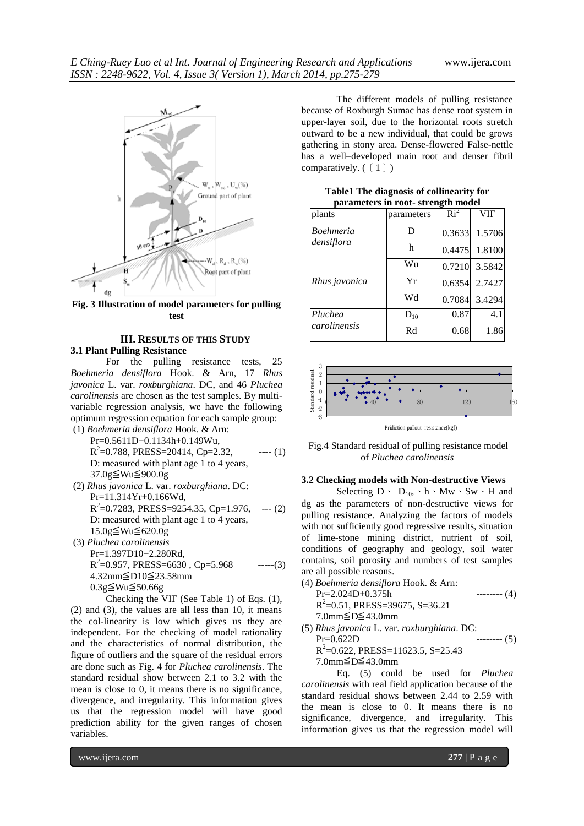

**Fig. 3 Illustration of model parameters for pulling test**

#### **III. RESULTS OF THIS STUDY 3.1 Plant Pulling Resistance**

For the pulling resistance tests, 25 *Boehmeria densiflora* Hook. & Arn, 17 *Rhus javonica* L. var. *roxburghiana*. DC, and 46 *Pluchea carolinensis* are chosen as the test samples. By multivariable regression analysis, we have the following optimum regression equation for each sample group: (1) *Boehmeria densiflora* Hook. & Arn:

- Pr=0.5611D+0.1134h+0.149Wu,  $R^2$ =0.788, PRESS=20414, Cp=2.32, ---- (1) D: measured with plant age 1 to 4 years, 37.0g≦Wu≦900.0g
- (2) *Rhus javonica* L. var. *roxburghiana*. DC: Pr=11.314Yr+0.166Wd,  $R^2$ =0.7283, PRESS=9254.35, Cp=1.976, --- (2) D: measured with plant age 1 to 4 years, 15.0g≦Wu≦620.0g (3) *Pluchea carolinensis*
- Pr=1.397D10+2.280Rd,  $R^2$ =0.957, PRESS=6630, Cp=5.968 -----(3) 4.32mm≦D10≦23.58mm 0.3g≦Wu≦50.66g Checking the VIF (See Table 1) of Eqs. (1),

(2) and (3), the values are all less than 10, it means the col-linearity is low which gives us they are independent. For the checking of model rationality and the characteristics of normal distribution, the figure of outliers and the square of the residual errors are done such as Fig. 4 for *Pluchea carolinensis*. The standard residual show between 2.1 to 3.2 with the mean is close to 0, it means there is no significance, divergence, and irregularity. This information gives us that the regression model will have good prediction ability for the given ranges of chosen variables.

The different models of pulling resistance because of Roxburgh Sumac has dense root system in upper-layer soil, due to the horizontal roots stretch outward to be a new individual, that could be grows gathering in stony area. Dense-flowered False-nettle has a well–developed main root and denser fibril comparatively.  $(1)$ )

| parameters in root- strength model |            |                 |        |  |
|------------------------------------|------------|-----------------|--------|--|
| plants                             | parameters | $\mathrm{Ri}^2$ | VIF    |  |
| <b>Boehmeria</b><br>densiflora     | D          | 0.3633          | 1.5706 |  |
|                                    | h          | 0.4475          | 1.8100 |  |
|                                    | Wu         | 0.7210          | 3.5842 |  |
| Rhus javonica                      | Yr         | 0.6354          | 2.7427 |  |
|                                    | Wd         | 0.7084          | 3.4294 |  |
| Pluchea<br>carolinensis            | $D_{10}$   | 0.87            | 4.1    |  |
|                                    | Rd         | 0.68            | 1.86   |  |

**Table1 The diagnosis of collinearity for parameters in root- strength model**



Fig.4 Standard residual of pulling resistance model of *Pluchea carolinensis*

# **3.2 Checking models with Non-destructive Views**

Selecting  $D \cdot D_{10}$ ,  $\cdot h \cdot Mw \cdot Sw \cdot H$  and dg as the parameters of non-destructive views for pulling resistance. Analyzing the factors of models with not sufficiently good regressive results, situation of lime-stone mining district, nutrient of soil, conditions of geography and geology, soil water contains, soil porosity and numbers of test samples are all possible reasons.

- (4) *Boehmeria densiflora* Hook. & Arn:  $Pr=2.024D+0.375h$  -------- (4)  $R^2$ =0.51, PRESS=39675, S=36.21 7.0mm≦D≦43.0mm (5) *Rhus javonica* L. var. *roxburghiana*. DC:
- $Pr=0.622D$  -------- (5)  $R^2$ =0.622, PRESS=11623.5, S=25.43 7.0mm≦D≦43.0mm

Eq. (5) could be used for *Pluchea carolinensis* with real field application because of the standard residual shows between 2.44 to 2.59 with the mean is close to 0. It means there is no significance, divergence, and irregularity. This information gives us that the regression model will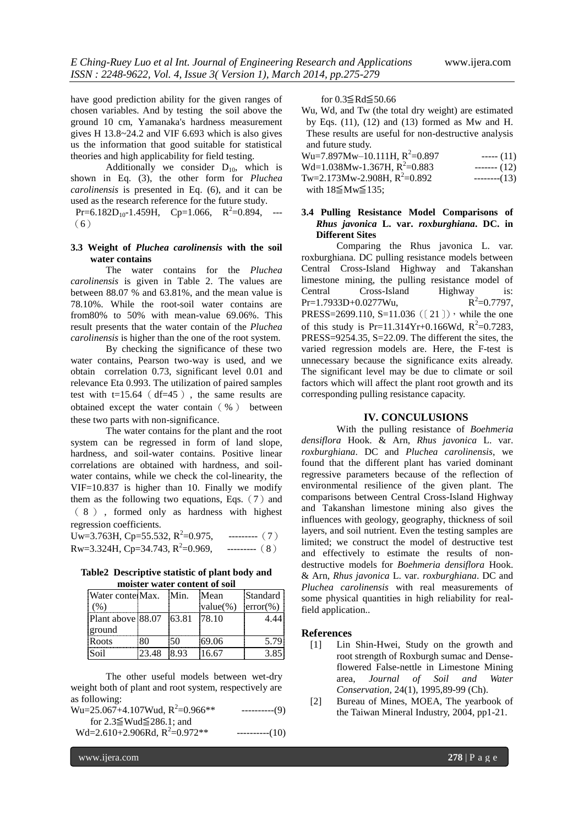have good prediction ability for the given ranges of chosen variables. And by testing the soil above the ground 10 cm, Yamanaka's hardness measurement gives H 13.8~24.2 and VIF 6.693 which is also gives us the information that good suitable for statistical theories and high applicability for field testing.

Additionally we consider  $D_{10}$ , which is shown in Eq. (3), the other form for *Pluchea carolinensis* is presented in Eq. (6), and it can be used as the research reference for the future study.

 $Pr=6.182D_{10} - 1.459H$ ,  $Cp=1.066$ ,  $R^2=0.894$ , ---(6)

# **3.3 Weight of** *Pluchea carolinensis* **with the soil water contains**

The water contains for the *Pluchea carolinensis* is given in Table 2. The values are between 88.07 % and 63.81%, and the mean value is 78.10%. While the root-soil water contains are from80% to 50% with mean-value 69.06%. This result presents that the water contain of the *Pluchea carolinensis* is higher than the one of the root system.

By checking the significance of these two water contains, Pearson two-way is used, and we obtain correlation 0.73, significant level 0.01 and relevance Eta 0.993. The utilization of paired samples test with  $t=15.64$  (df=45), the same results are obtained except the water contain(%) between these two parts with non-significance.

The water contains for the plant and the root system can be regressed in form of land slope, hardness, and soil-water contains. Positive linear correlations are obtained with hardness, and soilwater contains, while we check the col-linearity, the VIF=10.837 is higher than 10. Finally we modify them as the following two equations, Eqs.  $(7)$  and ( 8 ) , formed only as hardness with highest regression coefficients.

Uw=3.763H, Cp=55.532,  $R^2$ =0.975,  $---(-7)$ Rw=3.324H, Cp=34.743,  $R^2$ =0.969,  $---(8)$ 

**Table2 Descriptive statistic of plant body and moister water content of soil**

| Water contei Max.       |       | Min. | Mean        | Standard           |
|-------------------------|-------|------|-------------|--------------------|
| (%)                     |       |      | $value(\%)$ | $\text{error}(\%)$ |
| Plant above 88.07 63.81 |       |      | 178.10      | 4.44               |
| ground                  |       |      |             |                    |
| Roots                   | 80    | 50   | 69.06       | 5.79               |
| <b>Soil</b>             | 23.48 | 8.93 | 16.67       | 3.85               |

The other useful models between wet-dry weight both of plant and root system, respectively are as following:

| Wu=25.067+4.107Wud, $R^2$ =0.966**                                      | ----------(9) |
|-------------------------------------------------------------------------|---------------|
| for $2.3 \leq Wud \leq 286.1$ ; and<br>Wd=2.610+2.906Rd, $R^2$ =0.972** | $---(10)$     |

for 0.3≦Rd≦50.66

Wu, Wd, and Tw (the total dry weight) are estimated by Eqs. (11), (12) and (13) formed as Mw and H. These results are useful for non-destructive analysis and future study.

| $Wu=7.897Mw-10.111H$ , $R^2=0.897$ | $---(11)$ |
|------------------------------------|-----------|
| Wd=1.038Mw-1.367H, $R^2$ =0.883    | $---(12)$ |
| Tw=2.173Mw-2.908H, $R^2$ =0.892    | $---(13)$ |
| with $18\leq M_{\rm W}\leq 135$ :  |           |

# **3.4 Pulling Resistance Model Comparisons of**  *Rhus javonica* **L. var.** *roxburghiana***. DC. in Different Sites**

Comparing the Rhus javonica L. var. roxburghiana. DC pulling resistance models between Central Cross-Island Highway and Takanshan limestone mining, the pulling resistance model of Central Cross-Island Highway is: Pr=1.7933D+0.0277Wu, R<sup>2</sup>  $R^2=0.7797$ , PRESS=2699.110, S=11.036 ((21)), while the one of this study is Pr=11.314Yr+0.166Wd,  $R^2 = 0.7283$ , PRESS=9254.35, S=22.09. The different the sites, the varied regression models are. Here, the F-test is unnecessary because the significance exits already. The significant level may be due to climate or soil factors which will affect the plant root growth and its corresponding pulling resistance capacity.

## **IV. CONCULUSIONS**

With the pulling resistance of *Boehmeria densiflora* Hook. & Arn, *Rhus javonica* L. var. *roxburghiana*. DC and *Pluchea carolinensis*, we found that the different plant has varied dominant regressive parameters because of the reflection of environmental resilience of the given plant. The comparisons between Central Cross-Island Highway and Takanshan limestone mining also gives the influences with geology, geography, thickness of soil layers, and soil nutrient. Even the testing samples are limited; we construct the model of destructive test and effectively to estimate the results of nondestructive models for *Boehmeria densiflora* Hook. & Arn, *Rhus javonica* L. var. *roxburghiana*. DC and *Pluchea carolinensis* with real measurements of some physical quantities in high reliability for realfield application..

### **References**

- [1] Lin Shin-Hwei, Study on the growth and root strength of Roxburgh sumac and Denseflowered False-nettle in Limestone Mining area, *Journal of Soil and Water Conservation,* 24(1), 1995,89-99 (Ch).
- [2] Bureau of Mines, MOEA, The yearbook of the Taiwan Mineral Industry, 2004, pp1-21.